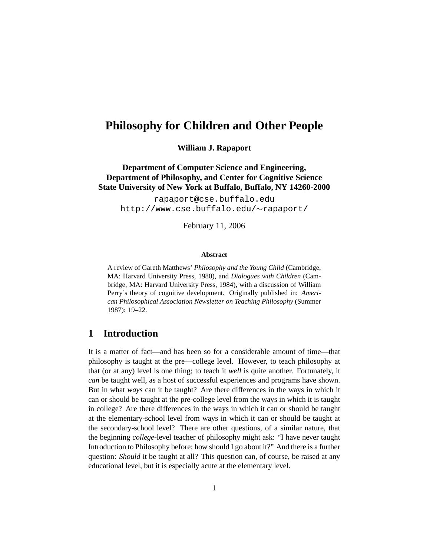# **Philosophy for Children and Other People**

**William J. Rapaport**

**Department of Computer Science and Engineering, Department of Philosophy, and Center for Cognitive Science State University of New York at Buffalo, Buffalo, NY 14260-2000**

rapaport@cse.buffalo.edu http://www.cse.buffalo.edu/∼rapaport/

February 11, 2006

#### **Abstract**

A review of Gareth Matthews' *Philosophy and the Young Child* (Cambridge, MA: Harvard University Press, 1980), and *Dialogues with Children* (Cambridge, MA: Harvard University Press, 1984), with a discussion of William Perry's theory of cognitive development. Originally published in: *American Philosophical Association Newsletter on Teaching Philosophy* (Summer 1987): 19–22.

#### **1 Introduction**

It is a matter of fact—and has been so for a considerable amount of time—that philosophy is taught at the pre—college level. However, to teach philosophy at that (or at any) level is one thing; to teach it *well* is quite another. Fortunately, it *can* be taught well, as a host of successful experiences and programs have shown. But in what *ways* can it be taught? Are there differences in the ways in which it can or should be taught at the pre-college level from the ways in which it is taught in college? Are there differences in the ways in which it can or should be taught at the elementary-school level from ways in which it can or should be taught at the secondary-school level? There are other questions, of a similar nature, that the beginning *college*-level teacher of philosophy might ask: "I have never taught Introduction to Philosophy before; how should I go about it?" And there is a further question: *Should* it be taught at all? This question can, of course, be raised at any educational level, but it is especially acute at the elementary level.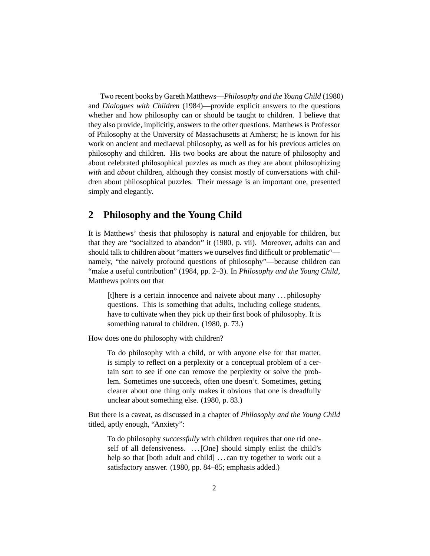Two recent books by Gareth Matthews—*Philosophy and the Young Child* (1980) and *Dialogues with Children* (1984)—provide explicit answers to the questions whether and how philosophy can or should be taught to children. I believe that they also provide, implicitly, answers to the other questions. Matthews is Professor of Philosophy at the University of Massachusetts at Amherst; he is known for his work on ancient and mediaeval philosophy, as well as for his previous articles on philosophy and children. His two books are about the nature of philosophy and about celebrated philosophical puzzles as much as they are about philosophizing *with* and *about* children, although they consist mostly of conversations with children about philosophical puzzles. Their message is an important one, presented simply and elegantly.

## **2 Philosophy and the Young Child**

It is Matthews' thesis that philosophy is natural and enjoyable for children, but that they are "socialized to abandon" it (1980, p. vii). Moreover, adults can and should talk to children about "matters we ourselves find difficult or problematic" namely, "the naively profound questions of philosophy"—because children can "make a useful contribution" (1984, pp. 2–3). In *Philosophy and the Young Child*, Matthews points out that

[t]here is a certain innocence and naivete about many . . . philosophy questions. This is something that adults, including college students, have to cultivate when they pick up their first book of philosophy. It is something natural to children. (1980, p. 73.)

How does one do philosophy with children?

To do philosophy with a child, or with anyone else for that matter, is simply to reflect on a perplexity or a conceptual problem of a certain sort to see if one can remove the perplexity or solve the problem. Sometimes one succeeds, often one doesn't. Sometimes, getting clearer about one thing only makes it obvious that one is dreadfully unclear about something else. (1980, p. 83.)

But there is a caveat, as discussed in a chapter of *Philosophy and the Young Child* titled, aptly enough, "Anxiety":

To do philosophy *successfully* with children requires that one rid oneself of all defensiveness. ... [One] should simply enlist the child's help so that [both adult and child] ...can try together to work out a satisfactory answer. (1980, pp. 84–85; emphasis added.)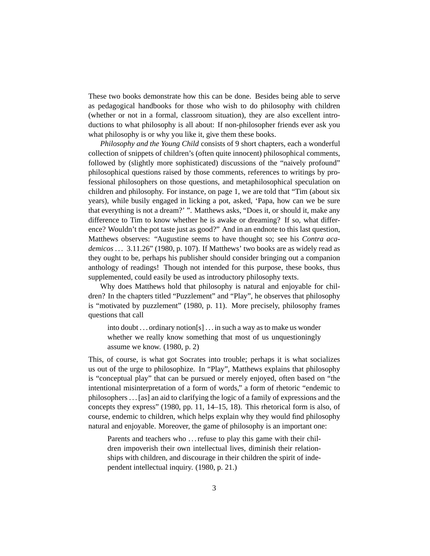These two books demonstrate how this can be done. Besides being able to serve as pedagogical handbooks for those who wish to do philosophy with children (whether or not in a formal, classroom situation), they are also excellent introductions to what philosophy is all about: If non-philosopher friends ever ask you what philosophy is or why you like it, give them these books.

*Philosophy and the Young Child* consists of 9 short chapters, each a wonderful collection of snippets of children's (often quite innocent) philosophical comments, followed by (slightly more sophisticated) discussions of the "naively profound" philosophical questions raised by those comments, references to writings by professional philosophers on those questions, and metaphilosophical speculation on children and philosophy. For instance, on page 1, we are told that "Tim (about six years), while busily engaged in licking a pot, asked, 'Papa, how can we be sure that everything is not a dream?' ". Matthews asks, "Does it, or should it, make any difference to Tim to know whether he is awake or dreaming? If so, what difference? Wouldn't the pot taste just as good?" And in an endnote to this last question, Matthews observes: "Augustine seems to have thought so; see his *Contra academicos . . .* 3.11.26" (1980, p. 107). If Matthews' two books are as widely read as they ought to be, perhaps his publisher should consider bringing out a companion anthology of readings! Though not intended for this purpose, these books, thus supplemented, could easily be used as introductory philosophy texts.

Why does Matthews hold that philosophy is natural and enjoyable for children? In the chapters titled "Puzzlement" and "Play", he observes that philosophy is "motivated by puzzlement" (1980, p. 11). More precisely, philosophy frames questions that call

into doubt ... ordinary notion[s]  $\dots$  in such a way as to make us wonder whether we really know something that most of us unquestioningly assume we know. (1980, p. 2)

This, of course, is what got Socrates into trouble; perhaps it is what socializes us out of the urge to philosophize. In "Play", Matthews explains that philosophy is "conceptual play" that can be pursued or merely enjoyed, often based on "the intentional misinterpretation of a form of words," a form of rhetoric "endemic to philosophers . . . [as] an aid to clarifying the logic of a family of expressions and the concepts they express" (1980, pp. 11, 14–15, 18). This rhetorical form is also, of course, endemic to children, which helps explain why they would find philosophy natural and enjoyable. Moreover, the game of philosophy is an important one:

Parents and teachers who ... refuse to play this game with their children impoverish their own intellectual lives, diminish their relationships with children, and discourage in their children the spirit of independent intellectual inquiry. (1980, p. 21.)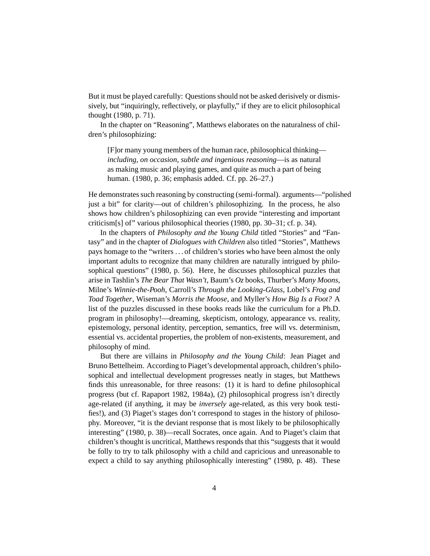But it must be played carefully: Questions should not be asked derisively or dismissively, but "inquiringly, reflectively, or playfully," if they are to elicit philosophical thought (1980, p. 71).

In the chapter on "Reasoning", Matthews elaborates on the naturalness of children's philosophizing:

[F]or many young members of the human race, philosophical thinking *including, on occasion, subtle and ingenious reasoning*—is as natural as making music and playing games, and quite as much a part of being human. (1980, p. 36; emphasis added. Cf. pp. 26–27.)

He demonstrates such reasoning by constructing (semi-formal). arguments—"polished just a bit" for clarity—out of children's philosophizing. In the process, he also shows how children's philosophizing can even provide "interesting and important criticism[s] of" various philosophical theories (1980, pp. 30–31; cf. p. 34).

In the chapters of *Philosophy and the Young Child* titled "Stories" and "Fantasy" and in the chapter of *Dialogues with Children* also titled "Stories", Matthews pays homage to the "writers . . . of children's stories who have been almost the only important adults to recognize that many children are naturally intrigued by philosophical questions" (1980, p. 56). Here, he discusses philosophical puzzles that arise in Tashlin's *The Bear That Wasn't*, Baum's *Oz* books, Thurber's *Many Moons*, Milne's *Winnie-the-Pooh*, Carroll's *Through the Looking-Glass*, Lobel's *Frog and Toad Together*, Wiseman's *Morris the Moose*, and Myller's *How Big Is a Foot?* A list of the puzzles discussed in these books reads like the curriculum for a Ph.D. program in philosophy!—dreaming, skepticism, ontology, appearance vs. reality, epistemology, personal identity, perception, semantics, free will vs. determinism, essential vs. accidental properties, the problem of non-existents, measurement, and philosophy of mind.

But there are villains in *Philosophy and the Young Child*: Jean Piaget and Bruno Bettelheim. According to Piaget's developmental approach, children's philosophical and intellectual development progresses neatly in stages, but Matthews finds this unreasonable, for three reasons: (1) it is hard to define philosophical progress (but cf. Rapaport 1982, 1984a), (2) philosophical progress isn't directly age-related (if anything, it may be *inversely* age-related, as this very book testifies!), and (3) Piaget's stages don't correspond to stages in the history of philosophy. Moreover, "it is the deviant response that is most likely to be philosophically interesting" (1980, p. 38)—recall Socrates, once again. And to Piaget's claim that children's thought is uncritical, Matthews responds that this "suggests that it would be folly to try to talk philosophy with a child and capricious and unreasonable to expect a child to say anything philosophically interesting" (1980, p. 48). These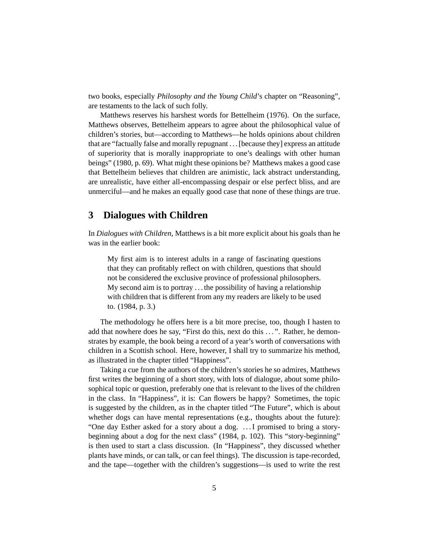two books, especially *Philosophy and the Young Child*'s chapter on "Reasoning", are testaments to the lack of such folly.

Matthews reserves his harshest words for Bettelheim (1976). On the surface, Matthews observes, Bettelheim appears to agree about the philosophical value of children's stories, but—according to Matthews—he holds opinions about children that are "factually false and morally repugnant . . . [because they] express an attitude of superiority that is morally inappropriate to one's dealings with other human beings" (1980, p. 69). What might these opinions be? Matthews makes a good case that Bettelheim believes that children are animistic, lack abstract understanding, are unrealistic, have either all-encompassing despair or else perfect bliss, and are unmerciful—and he makes an equally good case that none of these things are true.

#### **3 Dialogues with Children**

In *Dialogues with Children*, Matthews is a bit more explicit about his goals than he was in the earlier book:

My first aim is to interest adults in a range of fascinating questions that they can profitably reflect on with children, questions that should not be considered the exclusive province of professional philosophers. My second aim is to portray . . . the possibility of having a relationship with children that is different from any my readers are likely to be used to. (1984, p. 3.)

The methodology he offers here is a bit more precise, too, though I hasten to add that nowhere does he say, "First do this, next do this . . . ". Rather, he demonstrates by example, the book being a record of a year's worth of conversations with children in a Scottish school. Here, however, I shall try to summarize his method, as illustrated in the chapter titled "Happiness".

Taking a cue from the authors of the children's stories he so admires, Matthews first writes the beginning of a short story, with lots of dialogue, about some philosophical topic or question, preferably one that is relevant to the lives of the children in the class. In "Happiness", it is: Can flowers be happy? Sometimes, the topic is suggested by the children, as in the chapter titled "The Future", which is about whether dogs can have mental representations (e.g., thoughts about the future): "One day Esther asked for a story about a dog. . . . I promised to bring a storybeginning about a dog for the next class" (1984, p. 102). This "story-beginning" is then used to start a class discussion. (In "Happiness", they discussed whether plants have minds, or can talk, or can feel things). The discussion is tape-recorded, and the tape—together with the children's suggestions—is used to write the rest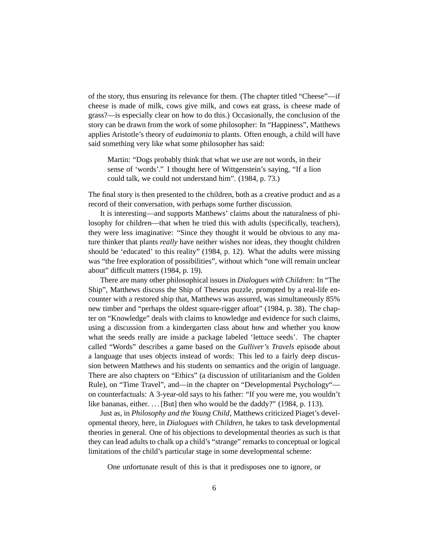of the story, thus ensuring its relevance for them. (The chapter titled "Cheese"—if cheese is made of milk, cows give milk, and cows eat grass, is cheese made of grass?—is especially clear on how to do this.) Occasionally, the conclusion of the story can be drawn from the work of some philosopher: In "Happiness", Matthews applies Aristotle's theory of *eudaimonia* to plants. Often enough, a child will have said something very like what some philosopher has said:

Martin: "Dogs probably think that what we use are not words, in their sense of 'words'." I thought here of Wittgenstein's saying, "If a lion could talk, we could not understand him". (1984, p. 73.)

The final story is then presented to the children, both as a creative product and as a record of their conversation, with perhaps some further discussion.

It is interesting—and supports Matthews' claims about the naturalness of philosophy for children—that when he tried this with adults (specifically, teachers), they were less imaginative: "Since they thought it would be obvious to any mature thinker that plants *really* have neither wishes nor ideas, they thought children should be 'educated' to this reality" (1984, p. 12). What the adults were missing was "the free exploration of possibilities", without which "one will remain unclear about" difficult matters (1984, p. 19).

There are many other philosophical issues in *Dialogues with Children*: In "The Ship", Matthews discuss the Ship of Theseus puzzle, prompted by a real-life encounter with a restored ship that, Matthews was assured, was simultaneously 85% new timber and "perhaps the oldest square-rigger afloat" (1984, p. 38). The chapter on "Knowledge" deals with claims to knowledge and evidence for such claims, using a discussion from a kindergarten class about how and whether you know what the seeds really are inside a package labeled 'lettuce seeds'. The chapter called "Words" describes a game based on the *Gulliver's Travels* episode about a language that uses objects instead of words: This led to a fairly deep discussion between Matthews and his students on semantics and the origin of language. There are also chapters on "Ethics" (a discussion of utilitarianism and the Golden Rule), on "Time Travel", and—in the chapter on "Developmental Psychology" on counterfactuals: A 3-year-old says to his father: "If you were me, you wouldn't like bananas, either. ... [But] then who would be the daddy?" (1984, p. 113).

Just as, in *Philosophy and the Young Child*, Matthews criticized Piaget's developmental theory, here, in *Dialogues with Children*, he takes to task developmental theories in general. One of his objections to developmental theories as such is that they can lead adults to chalk up a child's "strange" remarks to conceptual or logical limitations of the child's particular stage in some developmental scheme:

One unfortunate result of this is that it predisposes one to ignore, or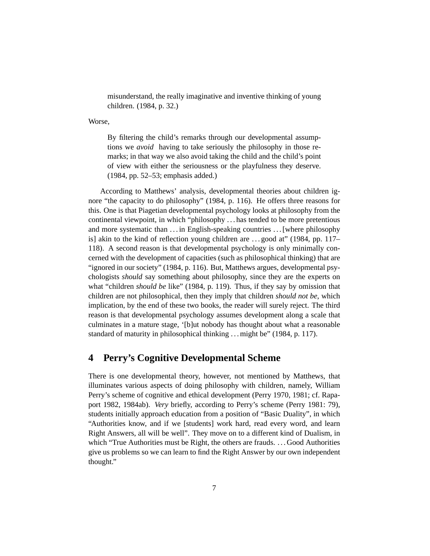misunderstand, the really imaginative and inventive thinking of young children. (1984, p. 32.)

Worse,

By filtering the child's remarks through our developmental assumptions we *avoid* having to take seriously the philosophy in those remarks; in that way we also avoid taking the child and the child's point of view with either the seriousness or the playfulness they deserve. (1984, pp. 52–53; emphasis added.)

According to Matthews' analysis, developmental theories about children ignore "the capacity to do philosophy" (1984, p. 116). He offers three reasons for this. One is that Piagetian developmental psychology looks at philosophy from the continental viewpoint, in which "philosophy . . . has tended to be more pretentious and more systematic than . . . in English-speaking countries . . . [where philosophy is] akin to the kind of reflection young children are . . . good at" (1984, pp. 117– 118). A second reason is that developmental psychology is only minimally concerned with the development of capacities (such as philosophical thinking) that are "ignored in our society" (1984, p. 116). But, Matthews argues, developmental psychologists *should* say something about philosophy, since they are the experts on what "children *should be* like" (1984, p. 119). Thus, if they say by omission that children are not philosophical, then they imply that children *should not be*, which implication, by the end of these two books, the reader will surely reject. The third reason is that developmental psychology assumes development along a scale that culminates in a mature stage, '[b]ut nobody has thought about what a reasonable standard of maturity in philosophical thinking . . . might be" (1984, p. 117).

## **4 Perry's Cognitive Developmental Scheme**

There is one developmental theory, however, not mentioned by Matthews, that illuminates various aspects of doing philosophy with children, namely, William Perry's scheme of cognitive and ethical development (Perry 1970, 1981; cf. Rapaport 1982, 1984ab). *Very* briefly, according to Perry's scheme (Perry 1981: 79), students initially approach education from a position of "Basic Duality", in which "Authorities know, and if we [students] work hard, read every word, and learn Right Answers, all will be well". They move on to a different kind of Dualism, in which "True Authorities must be Right, the others are frauds. . . . Good Authorities give us problems so we can learn to find the Right Answer by our own independent thought."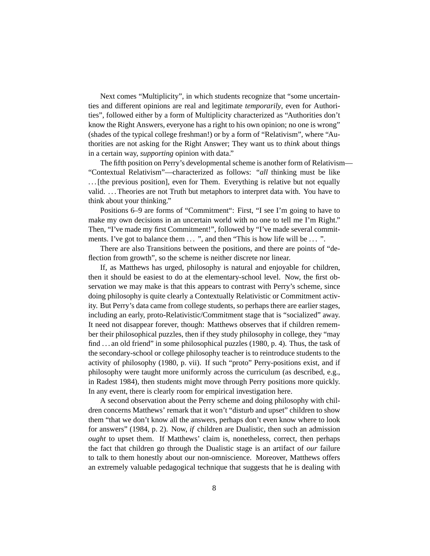Next comes "Multiplicity", in which students recognize that "some uncertainties and different opinions are real and legitimate *temporarily*, even for Authorities", followed either by a form of Multiplicity characterized as "Authorities don't know the Right Answers, everyone has a right to his own opinion; no one is wrong" (shades of the typical college freshman!) or by a form of "Relativism", where "Authorities are not asking for the Right Answer; They want us to *think* about things in a certain way, *supporting* opinion with data."

The fifth position on Perry's developmental scheme is another form of Relativism— "Contextual Relativism"—characterized as follows: "*all* thinking must be like ... [the previous position], even for Them. Everything is relative but not equally valid. . . . Theories are not Truth but metaphors to interpret data with. You have to think about your thinking."

Positions 6–9 are forms of "Commitment": First, "I see I'm going to have to make my own decisions in an uncertain world with no one to tell me I'm Right." Then, "I've made my first Commitment!", followed by "I've made several commitments. I've got to balance them  $\ldots$ , and then "This is how life will be  $\ldots$ ".

There are also Transitions between the positions, and there are points of "deflection from growth", so the scheme is neither discrete nor linear.

If, as Matthews has urged, philosophy is natural and enjoyable for children, then it should be easiest to do at the elementary-school level. Now, the first observation we may make is that this appears to contrast with Perry's scheme, since doing philosophy is quite clearly a Contextually Relativistic or Commitment activity. But Perry's data came from college students, so perhaps there are earlier stages, including an early, proto-Relativistic/Commitment stage that is "socialized" away. It need not disappear forever, though: Matthews observes that if children remember their philosophical puzzles, then if they study philosophy in college, they "may find ... an old friend" in some philosophical puzzles (1980, p. 4). Thus, the task of the secondary-school or college philosophy teacher is to reintroduce students to the activity of philosophy (1980, p. vii). If such "proto" Perry-positions exist, and if philosophy were taught more uniformly across the curriculum (as described, e.g., in Radest 1984), then students might move through Perry positions more quickly. In any event, there is clearly room for empirical investigation here.

A second observation about the Perry scheme and doing philosophy with children concerns Matthews' remark that it won't "disturb and upset" children to show them "that we don't know all the answers, perhaps don't even know where to look for answers" (1984, p. 2). Now, *if* children are Dualistic, then such an admission *ought* to upset them. If Matthews' claim is, nonetheless, correct, then perhaps the fact that children go through the Dualistic stage is an artifact of *our* failure to talk to them honestly about our non-omniscience. Moreover, Matthews offers an extremely valuable pedagogical technique that suggests that he is dealing with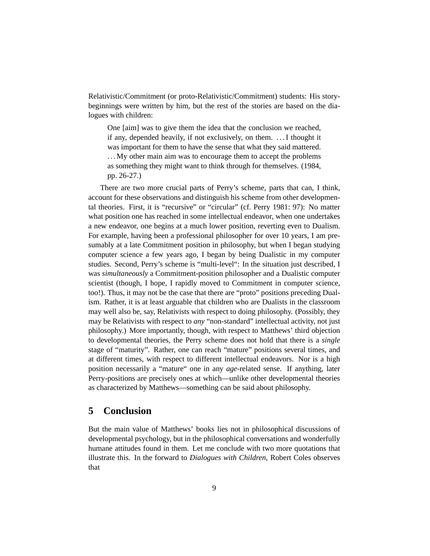Relativistic/Commitment (or proto-Relativistic/Commitment) students: His storybeginnings were written by him, but the rest of the stories are based on the dialogues with children:

One [aim] was to give them the idea that the conclusion we reached, if any, depended heavily, if not exclusively, on them. . . . I thought it was important for them to have the sense that what they said mattered. . . . My other main aim was to encourage them to accept the problems as something they might want to think through for themselves. (1984, pp. 26-27.)

There are two more crucial parts of Perry's scheme, parts that can, I think, account for these observations and distinguish his scheme from other developmental theories. First, it is "recursive" or "circular" (cf. Perry 1981: 97): No matter what position one has reached in some intellectual endeavor, when one undertakes a new endeavor, one begins at a much lower position, reverting even to Dualism. For example, having been a professional philosopher for over 10 years, I am presumably at a late Commitment position in philosophy, but when I began studying computer science a few years ago, I began by being Dualistic in my computer studies. Second, Perry's scheme is "multi-level": In the situation just described, I was *simultaneously* a Commitment-position philosopher and a Dualistic computer scientist (though, I hope, I rapidly moved to Commitment in computer science, too!). Thus, it may not be the case that there are "proto" positions preceding Dualism. Rather, it is at least arguable that children who are Dualists in the classroom may well also be, say, Relativists with respect to doing philosophy. (Possibly, they may be Relativists with respect to *any* "non-standard" intellectual activity, not just philosophy.) More importantly, though, with respect to Matthews' third objection to developmental theories, the Perry scheme does not hold that there is a *single* stage of "maturity". Rather, one can reach "mature" positions several times, and at different times, with respect to different intellectual endeavors. Nor is a high position necessarily a "mature" one in any *age*-related sense. If anything, later Perry-positions are precisely ones at which—unlike other developmental theories as characterized by Matthews—something can be said about philosophy.

#### **5 Conclusion**

But the main value of Matthews' books lies not in philosophical discussions of developmental psychology, but in the philosophical conversations and wonderfully humane attitudes found in them. Let me conclude with two more quotations that illustrate this. In the forward to *Dialogues with Children*, Robert Coles observes that